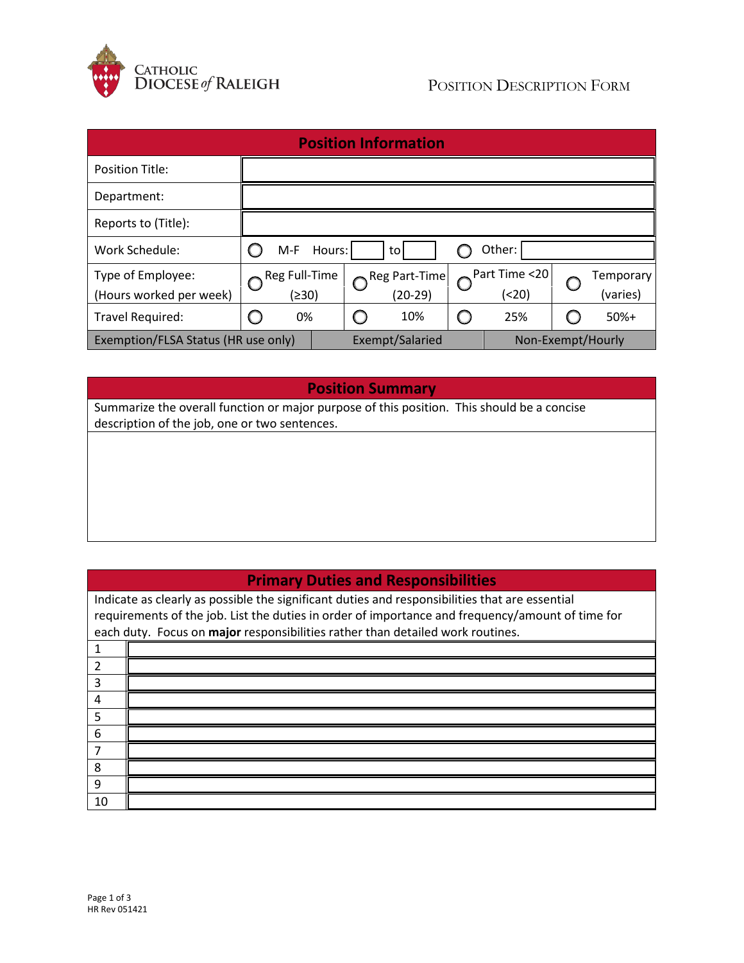

| <b>Position Information</b>         |                                 |  |                 |               |  |                      |  |           |
|-------------------------------------|---------------------------------|--|-----------------|---------------|--|----------------------|--|-----------|
| <b>Position Title:</b>              |                                 |  |                 |               |  |                      |  |           |
| Department:                         |                                 |  |                 |               |  |                      |  |           |
| Reports to (Title):                 |                                 |  |                 |               |  |                      |  |           |
| Work Schedule:                      | Other:<br>Hours:<br>$M-F$<br>to |  |                 |               |  |                      |  |           |
| Type of Employee:                   | Reg Full-Time                   |  |                 | Reg Part-Time |  | $\sim$ Part Time <20 |  | Temporary |
| (Hours worked per week)             | (≥30)                           |  |                 | $(20-29)$     |  | (< 20)               |  | (varies)  |
| Travel Required:                    | 0%                              |  |                 | 10%           |  | 25%                  |  | $50%+$    |
| Exemption/FLSA Status (HR use only) |                                 |  | Exempt/Salaried |               |  | Non-Exempt/Hourly    |  |           |

#### **Position Summary**

Summarize the overall function or major purpose of this position. This should be a concise description of the job, one or two sentences.

### **Primary Duties and Responsibilities**

Indicate as clearly as possible the significant duties and responsibilities that are essential requirements of the job. List the duties in order of importance and frequency/amount of time for each duty. Focus on **major** responsibilities rather than detailed work routines. 1 2 3 4 5 6 7 8 9 10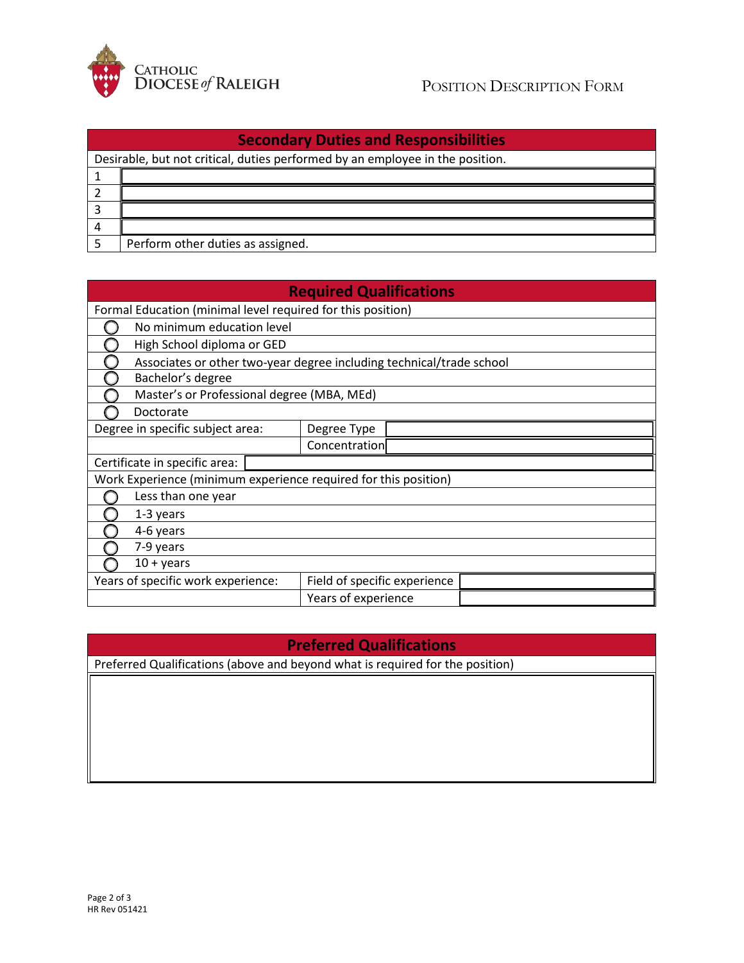

| <b>Secondary Duties and Responsibilities</b> |                                                                               |  |  |  |  |  |
|----------------------------------------------|-------------------------------------------------------------------------------|--|--|--|--|--|
|                                              | Desirable, but not critical, duties performed by an employee in the position. |  |  |  |  |  |
|                                              |                                                                               |  |  |  |  |  |
|                                              |                                                                               |  |  |  |  |  |
|                                              |                                                                               |  |  |  |  |  |
|                                              |                                                                               |  |  |  |  |  |
|                                              | Perform other duties as assigned.                                             |  |  |  |  |  |

| <b>Required Qualifications</b>                                  |                                                                      |  |                              |  |  |  |
|-----------------------------------------------------------------|----------------------------------------------------------------------|--|------------------------------|--|--|--|
| Formal Education (minimal level required for this position)     |                                                                      |  |                              |  |  |  |
|                                                                 | No minimum education level                                           |  |                              |  |  |  |
|                                                                 | High School diploma or GED                                           |  |                              |  |  |  |
|                                                                 | Associates or other two-year degree including technical/trade school |  |                              |  |  |  |
|                                                                 | Bachelor's degree                                                    |  |                              |  |  |  |
|                                                                 | Master's or Professional degree (MBA, MEd)                           |  |                              |  |  |  |
|                                                                 | Doctorate                                                            |  |                              |  |  |  |
| Degree in specific subject area:                                |                                                                      |  | Degree Type                  |  |  |  |
|                                                                 |                                                                      |  | Concentration                |  |  |  |
|                                                                 | Certificate in specific area:                                        |  |                              |  |  |  |
| Work Experience (minimum experience required for this position) |                                                                      |  |                              |  |  |  |
|                                                                 | Less than one year                                                   |  |                              |  |  |  |
|                                                                 | 1-3 years                                                            |  |                              |  |  |  |
|                                                                 | 4-6 years                                                            |  |                              |  |  |  |
|                                                                 | 7-9 years                                                            |  |                              |  |  |  |
|                                                                 | $10 + \gamma$ ears                                                   |  |                              |  |  |  |
| Years of specific work experience:                              |                                                                      |  | Field of specific experience |  |  |  |
|                                                                 | Years of experience                                                  |  |                              |  |  |  |

# **Preferred Qualifications**

Preferred Qualifications (above and beyond what is required for the position)